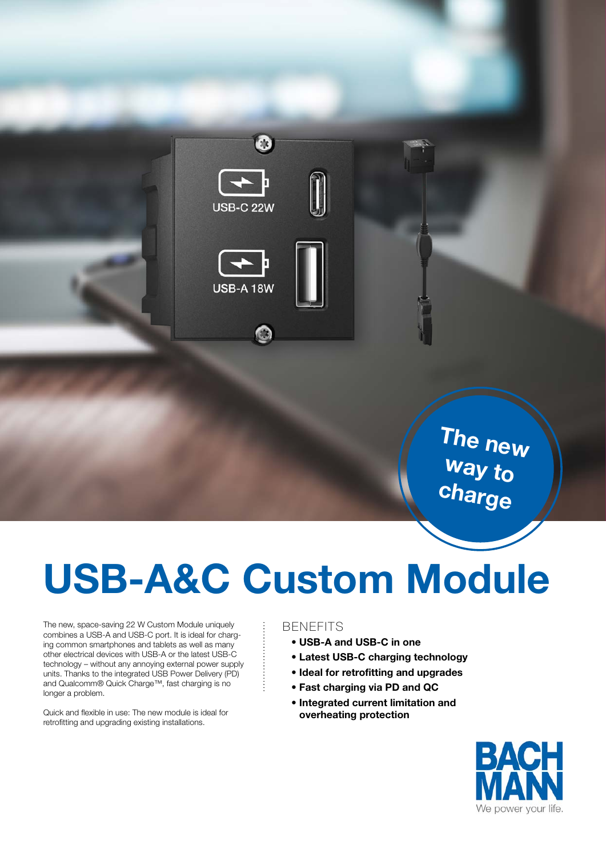

The new way to charge

# USB-A&C Custom Module

The new, space-saving 22 W Custom Module uniquely combines a USB-A and USB-C port. It is ideal for charging common smartphones and tablets as well as many other electrical devices with USB-A or the latest USB-C technology – without any annoying external power supply units. Thanks to the integrated USB Power Delivery (PD) and Qualcomm® Quick Charge™, fast charging is no longer a problem.

Quick and flexible in use: The new module is ideal for retrofitting and upgrading existing installations.

### BENEFITS

- USB-A and USB-C in one
- Latest USB-C charging technology
- Ideal for retrofitting and upgrades
- Fast charging via PD and QC
- Integrated current limitation and overheating protection